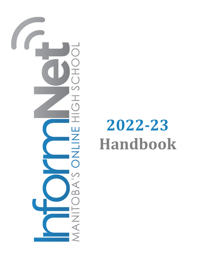

# **2022‐23 Handbook**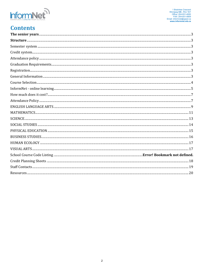

# **Contents**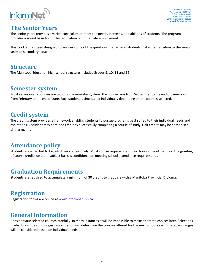

## **The Senior Years**

The senior years provides a varied curriculum to meet the needs, interests, and abilities of students. The program provides a sound basis for further education or immediate employment.

This booklet has been designed to answer some of the questions that arise as students make the transition to the senior years of secondary education

## **Structure**

The Manitoba Education high school structure includes Grades 9, 10, 11 and 12.

## **Semester system**

Most senior year's courses are taught on a semester system. The course runs from September to the end of January or from February to the end of June. Each student is timetabled individually depending on the courses selected.

## **Credit system**

The credit system provides a framework enabling students to pursue programs best suited to their individual needs and aspirations. A student may earn one credit by successfully completing a course of study. Half credits may be earned in a similar manner.

# **Attendance policy**

Students are expected to log into their courses daily. Most course require one to two hours of work per day. The granting of course credits on a per subject basis is conditional on meeting school attendance requirements.

# **Graduation Requirements**

Students are required to accumulate a minimum of 30 credits to graduate with a Manitoba Provincial Diploma.

# **Registration**

Registration forms are online at www.informnet.mb.ca

# **General Information**

Consider your selected courses carefully. In many instances it will be impossible to make alternate choices later. Selections made during the spring registration period will determine the courses offered for the next school year. Timetable changes will be considered based on individual needs.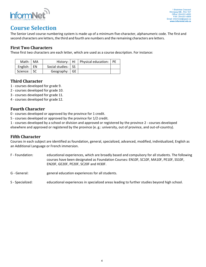

# **Course Selection**

The Senior Level course numbering system is made up of a minimum five‐character, alphanumeric code. The first and second characters are letters, the third and fourth are numbers and the remaining characters are letters.

#### **First Two Characters**

These first two characters are each letter, which are used as a course description. For instance:

| Math:   MA     |                      | History:   HI   Physical education:   PE |  |
|----------------|----------------------|------------------------------------------|--|
| English: $ EN$ | Social studies: SS   |                                          |  |
| Science: SC    | Geography: $\mid$ GE |                                          |  |

## **Third Character**

- 1 ‐ courses developed for grade 9.
- 2 ‐ courses developed for grade 10.
- 3 ‐ courses developed for grade 11.
- 4 ‐ courses developed for grade 12.

## **Fourth Character**

- 0 ‐ courses developed or approved by the province for 1 credit.
- 5 ‐ courses developed or approved by the province for 1/2 credit.

1 ‐ courses developed by a school or division and approved or registered by the province 2 ‐ courses developed elsewhere and approved or registered by the province (e. g.: university, out of province, and out‐of‐country).

#### **Fifth Character**

Courses in each subject are identified as foundation, general, specialized, advanced, modified, individualized, English as an Additional Language or French immersion.

- F Foundation: educational experiences, which are broadly based and compulsory for all students. The following courses have been designated as Foundation Courses: EN10F, SC10F, MA10F, PE10F, SS10F, EN20F, GE20F, PE20F, SC20F and HI30F.
- G General: general education experiences for all students.
- S Specialized: educational experiences in specialized areas leading to further studies beyond high school.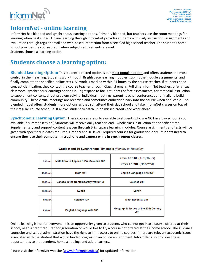

# **InformNet** - online learning

InformNet has blended and synchronous learning options. Primarily blended, but teachers use the zoom meetings for learning when best suited. Online learning through InformNet provides students with daily instruction, assignments and evaluation through regular email and web‐based interaction from a certified high school teacher. The student's home school provides the course credit when subject requirements are met. Students choose a learning option:

# **Students choose a learning option:**

**Blended Learning Option:** This student‐directed option is our most popular option and offers students the most control in their learning. Students work through Brightspace learning modules, submit the module assignments, and finally complete the specified online tests. All work is marked within 24 hours by the course teacher. If students need concept clarification, they contact the course teacher through Classlist emails. Full time InformNet teachers offer virtual classroom (synchronous learning) options in Brightspace to focus students before assessments, for remedial instruction, to supplement content, direct problem solving, individual meetings, parent‐teacher conferences and finally to build community. These virtual meetings are recorded and sometimes embedded back into the course when applicable. The blended model offers students more options as they still attend their day school and take InformNet classes on top of their regular course schedule. It allows student to catch up on missed credits and work ahead.

**Synchronous Learning Option:** These courses are only available to students who are NOT in a day school. (Not available in summer session.) Students will receive daily teacher lead ‐ whole class instruction at a specified time. Supplementary and support content is given through Brightspace learning modules. Course assignments and tests will be given with specific due dates required. Grade 9 and 10 level ‐ required courses for graduation only. **Students need to ensure they use their computer microphone and camera while in synchronous classes.**

| Grade 9 and 10 Synchronous Timetable (Monday to Thursday) |                                          |                                                          |  |  |  |
|-----------------------------------------------------------|------------------------------------------|----------------------------------------------------------|--|--|--|
| 9:00a.m.                                                  | Math Intro to Applied & Pre-Calculus 20S | <b>Phys-Ed 10F (Tues/Thurs)</b><br>Phys-Ed 20F (Mon/Wed) |  |  |  |
| $10:00$ a.m.                                              | Math 10F                                 | <b>English Language Arts 20F</b>                         |  |  |  |
| $11:00$ a.m.                                              | Canada in the Contemporary World 10F     | <b>Science 20F</b>                                       |  |  |  |
| 12:00 p.m.                                                | Lunch                                    | Lunch                                                    |  |  |  |
| $1:00$ p.m.                                               | <b>Science 10F</b>                       | <b>Math Essential 20S</b>                                |  |  |  |
| 2:00 p.m.                                                 | <b>English Language Arts 10F</b>         | Geographic Issues of the 20th Century<br>20F             |  |  |  |

Online learning is not for everyone. It is an opportunity given to students who cannot get into a course offered at their school, need a credit required for graduation or would like to try a course not offered at their home school. The guidance counselor and school administration have the right to limit access to online courses if there are relevant academic issues associated with the student that would hinder progress in an online environment. InformNet also provides these opportunities to Independent, homeschooling, and adult learners.

Please visit the InformNet website (www.informnet.mb.ca) for updated information.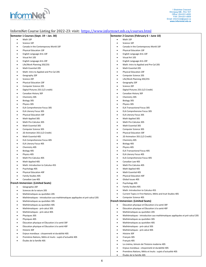

#### InformNet Course Listing for 2022-23: visit: https://www.informnet.mb.ca/courses.html

#### **Semester 1 Courses (Sept. 19 – Jan. 30)**

- Math 10F
- Science 10F
- Canada in the Contemporary World 10F
- Physical Education 10F
- English Language Arts 10F
- Visual Art 10S
- English Language Arts 20F
- Life/Work Planning 20S/25S
- Math Essential 20S
- Math: Intro to Applied and Pre‐Cal 20S
- Geography 20F
- Science 20F
- Physical Education 20F
- Computer Science 20S
- Digital Pictures 25S (1/2 credit)
- Canadian History 30F
- Chemistry 30S
- Biology 30S
- Physics 30S
- ELA Comprehensive Focus 30S
- ELA Literary Focus 30S
- Physical Education 30F
- Math Applied 30S
- Math Pre‐Calculus 30S
- Math Essential 30S
- Computer Science 30S
- 2D Animation 35S (1/2 Credit)
- Math Essential 40S
- ELA Comprehensive Focus 40S
- ELA Literary Focus 40S
- Chemistry 40S
- Biology 40S
- Physics 40S Math Pre‐Calculus 40S
- Math Applied 40S
- Math: Introduction to Calculus 45S
- Psychology 40S
- Physical Education 40F
- Family Studies 40S
- Canadian Law 40S

#### **French Immersion: (Limited Seats)**

- Géographie 20F
- Sciences de la nature 20S
- Mathématiques au quotidien 20S
- Mathématiques ‐ introduction aux mathématiques appliquées et pré‐calcul 20S
- Mathématiques au quotidien 30S
- Mathématiques au quotidien 40S
- Mathématiques ‐ pré‐calcul 30S
- Mathématiques ‐ pré‐calcul 40S
- Physiques 30S
- Physiques 40S
- Éducation physique et Éducation à la santé 30F
- Éducation physique et Éducation à la santé 40F
- Histoire 30F
- Enjeux mondiaux : citoyenneté et durabilité 40S
- Premières Nations, Métis et Inuits : sujets d'actualité 40S
- Études de la famille 40S

#### **Semester 2 Courses (February 6 – June 10)**

- Math 10F
- Science 10F
- Canada in the Contemporary World 10F
- Physical Education 10F
- English Language Arts 10F
- Visual Art 10S
- English Language Arts 20F
- Math: Intro to Applied and Pre‐Cal 20S
- Math Essential 20S
- Physical Education 20F
- Computer Science 20S
- Life/Work Planning 20S/25S
- Geography 20F
- Science 20F
- Digital Pictures 25S (1/2 Credit)
- Canadian History 30F
- Chemistry 30S
- Biology 30S
- Physics 30S
- ELA Transactional Focus 30S
- ELA Comprehensive Focus 30S
- ELA Literary Focus 30S
- Math Applied 30S
- Math Pre‐Calculus 30S
- Math Essential 30S
- Computer Science 30S
- Physical Education 30F
- 2D Animation 35S (1/2 Credit)
- Chemistry 40S
- Biology 40S
- Physics 40S
- ELA Transactional Focus 40S
- ELA Literary Focus 40S
- ELA Comprehensive Focus 40S
- Canadian Law 40S
- Math Pre‐Calculus 40S
- Math Applied 40S
- Math Essential 40S

6

 Physical Education 40F Global Issues 40S

> Psychology 40S Family Studies 40S

 Histoire 30F Français 30S Français 40S

Études de la famille 40S

 Computer Science 40S **French Immersion: (Limited Seats)**

Math: Introduction to Calculus 45S

Mathématiques au quotidien 20S

 Mathématiques au quotidien 30S Mathématiques au quotidien 40S Mathématiques ‐ pré‐calcul 30S Mathématiques ‐ pré‐calcul 40S

Current Topics in First Nations, Métis and Inuit Studies 40S

Mathématiques ‐ introduction aux mathématiques appliquées et pré‐calcul 20S

 Éducation physique et Éducation à la santé 30F Éducation physique et Éducation à la santé 40F

 Le cinéma, témoin de l'histoire moderne 40S Enjeux mondiaux : citoyenneté et durabilité 40S Premières Nations, Métis et Inuits : sujets d'actualité 40S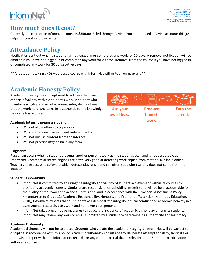# **How much does it cost?**

Currently the cost for an InformNet course is **\$350.00**. Billed through PayPal. You do not need a PayPal account; this just helps for credit card payments.

# **Attendance Policy**

Notification sent out when a student has not logged in or completed any work for 10 days. A removal notification will be emailed if you have not logged in or completed any work for 20 days. Removal from the course if you have not logged in or completed any work for 30 consecutive days.

**Use your** 

own ideas.

\*\* Any students taking a 40S web-based course with InformNet will write an online exam. \*\*

# **Academic Honesty Policy**

Academic integrity is a concept used to address the many aspects of validity within a student's work. A student who maintains a high standard of academic integrity maintains that the work he or she turns in is authentic to the knowledge he or she has acquired.

#### **Academic Integrity means a student...**

- Will not allow others to copy work.
- Will complete each assignment independently.
- Will not misuse content from the Internet.
- Will not practice *plagiarism* in any form.

#### **Plagiarism**

Plagiarism occurs when a student presents another person's work as the student's own and is not acceptable at InformNet. Commercial search engines are often very good at detecting work copied from material available online. Teachers have access to software which detects plagiarism and can often spot when writing does not come from the student.

#### **Student Responsibility**

- InformNet is committed to ensuring the integrity and validity of student achievement within its courses by promoting academic honesty. Students are responsible for upholding integrity and will be held accountable for the quality of their work and actions. To this end, and in accordance with the Provincial Assessment Policy Kindergarten to Grade 12: Academic Responsibility, Honesty, and Promotion/Retention (Manitoba Education, 2010), InformNet expects that all students will demonstrate integrity, ethical conduct and academic honesty in all assessments, research, class work and homework assignments.
- InformNet takes preventative measures to reduce the incidence of academic dishonesty among its students. InformNet may review any work or email submitted by a student to determine its authenticity and legitimacy.

#### **Academic Dishonesty**

Academic dishonesty will not be tolerated. Students who violate the academic integrity of InformNet will be subject to discipline in accordance with this policy. Academic dishonesty consists of any deliberate attempt to falsify, fabricate or otherwise tamper with data information, records, or any other material that is relevant to the student's participation within any course.





Produce

honest

work.



Earn the

credit.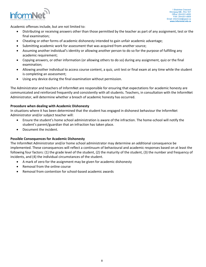

Academic offenses include, but are not limited to:

- Distributing or receiving answers other than those permitted by the teacher as part of any assignment, test or the final examination;
- Cheating or other forms of academic dishonesty intended to gain unfair academic advantage;
- Submitting academic work for assessment that was acquired from another source;
- Assuming another individual's identity or allowing another person to do so for the purpose of fulfilling any academic requirement;
- Copying answers, or other information (or allowing others to do so) during any assignment, quiz or the final examination;
- Allowing another individual to access course content, a quiz, unit test or final exam at any time while the student is completing an assessment;
- Using any device during the final examination without permission.

The Administrator and teachers of InformNet are responsible for ensuring that expectations for academic honesty are communicated and reinforced frequently and consistently with all students. Teachers, in consultation with the InformNet Administrator, will determine whether a breach of academic honesty has occurred.

#### **Procedure when dealing with Academic Dishonesty**

In situations where it has been determined that the student has engaged in dishonest behaviour the InformNet Administrator and/or subject teacher will:

- Ensure the student's home school administration is aware of the infraction. The home‐school will notify the student's parent/guardian that an infraction has taken place.
- Document the incident.

#### **Possible Consequences for Academic Dishonesty**

The InformNet Administrator and/or home school administrator may determine an additional consequence be implemented. These consequences will reflect a continuum of behavioural and academic responses based on at least the following four factors: (1) the grade level of the student, (2) the maturity of the student, (3) the number and frequency of incidents, and (4) the individual circumstances of the student.

- A mark of zero for the assignment may be given for academic dishonesty
- Removal from the online course
- Removal from contention for school‐based academic awards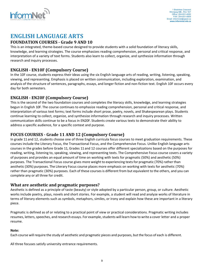

# **ENGLISH LANGUAGE ARTS**

#### **FOUNDATION COURSES - Grade 9 AND 10**

This is an integrated, theme‐based course designed to provide students with a solid foundation of literacy skills, knowledge, and learning strategies. The course emphasizes reading comprehension, personal and critical response, and interpretation of a variety of text forms. Students also learn to collect, organize, and synthesize information through research and inquiry processes.

## **ENGLISH ‐ EN10F (Compulsory Course)**

In the 10F course, students express their ideas using the six English language arts of reading, writing, listening, speaking, viewing, and representing. Emphasis is placed on written communication, including exploration, examination, and analysis of the structure of sentences, paragraphs, essays, and longer fiction and non-fiction text. English 10F occurs every day for both semesters.

#### **ENGLISH ‐ EN20F (Compulsory Course)**

This is the second of the two foundation courses and completes the literacy skills, knowledge, and learning strategies begun in English 10F. The course continues to emphasize reading comprehension, personal and critical response, and interpretation of various text forms; text forms include short prose, poetry, novels, and Shakespearean plays. Students continue learning to collect, organize, and synthesize information through research and inquiry processes. Written communication skills continue to be a focus in EN20F. Students create various texts to demonstrate their ability to address a specific audience, for a specific context and purpose.

#### **FOCUS COURSES ‐ Grade 11 AND 12 (Compulsory Course)**

In grade 11 and 12, students choose one of three English curricula focus courses to meet graduation requirements. These courses include the Literary Focus, the Transactional Focus, and the Comprehensive Focus. Unlike English language arts courses in the grades before Grade 11, Grades 11 and 12 courses offer different specializations based on the purposes for reading, writing, listening to, speaking, viewing, and representing texts. The Comprehensive Focus course covers a variety of purposes and provides an equal amount of time on working with texts for pragmatic (50%) and aesthetic (50%) purposes. The Transactional Focus course gives more weight to experiencing textsfor pragmatic (70%) rather than aesthetic (30%) purposes. The Literary Focus course places more emphasis on working with texts for aesthetic (70%) rather than pragmatic (30%) purposes. Each of these courses is different from but equivalent to the others, and you can complete any or all three for credit.

#### **What are aesthetic and pragmatic purposes?**

Aesthetic is defined as a principle of taste (beauty) or style adopted by a particular person, group, or culture. Aesthetic works include poetry, plays, novels and short stories. For example, a student will read and analyze works of literature in terms of literary elements such as symbols, metaphors, similes, or irony and explain how these are important in a literary piece.

Pragmatic is defined as of or relating to a practical point of view or practical considerations. Pragmatic writing includes resumes, letters, speeches, and research essays. For example, students will learn how to write a cover letter and a proper resume.

#### **Note:**

Each course will require the study of aesthetic and pragmatic pieces and purposes, but the focus of each is different.

All three focuses satisfy university entrance requirements.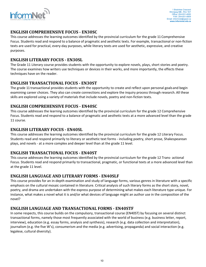

#### **ENGLISH COMPREHENSIVE FOCUS ‐ EN30SC**

This course addresses the learning outcomes identified by the provincial curriculum for the grade 11 Comprehensive Focus. Students read and respond to a balance of pragmatic and aesthetic texts. For example, transactional or non‐fiction texts are used for practical, every‐day purposes, while literary texts are used for aesthetic, expressive, and creative purposes.

#### **ENGLISH LITERARY FOCUS ‐ EN30SL**

The Grade 11 Literary course provides students with the opportunity to explore novels, plays, short stories and poetry. The course examines how writers use techniques or devices in their works, and more importantly, the effects these techniques have on the reader.

#### **ENGLISH TRANSACTIONAL FOCUS ‐ EN30ST**

The grade 11 transactional provides students with the opportunity to create and reflect upon personal goalsand begin examining career choices. They also can create connections and explore the inquiry process through research. All these skills are explored using a variety of materials that include novels, poetry and non‐fiction texts.

#### **ENGLISH COMPREHENSIVE FOCUS ‐ EN40SC**

This course addresses the learning outcomes identified by the provincial curriculum for the grade 12 Comprehensive Focus. Students read and respond to a balance of pragmatic and aesthetic texts at a more advanced level than the grade 11 course.

#### **ENGLISH LITERARY FOCUS ‐ EN40SL**

This course addresses the learning outcomes identified by the provincial curriculum for the grade 12 Literary Focus. Students read and respond primarily to literary or aesthetic text forms ‐ including poetry, short prose, Shakespearean plays, and novels ‐ at a more complex and deeper level than at the grade 11 level.

#### **ENGLISH TRANSACTIONAL FOCUS ‐ EN40ST**

This course addresses the learning outcomes identified by the provincial curriculum for the grade 12 Trans‐ actional Focus. Students read and respond primarily to transactional, pragmatic, or functional texts at a more advanced level than at the grade 11 level.

#### **ENGLISH LANGUAGE AND LITERARY FORMS ‐ EN40SLF**

This course provides for an in‐depth examination and study of language forms, various genres in literature with a specific emphasis on the cultural mosaic contained in literature. Critical analysis of such literary forms as the short story, novel, poetry, and drama are undertaken with the express purpose of determining what makes each literature type unique. For instance, what makes a novel what it is and/or what devices of language might an author use in the composition of the novel?

#### **ENGLISH LANGUAGE AND TRANSACTIONAL FORMS ‐ EN40STF**

In some respects, this course builds on the compulsory, transactional course (EN40ST) by focusing on several distinct transactional forms, namely those most frequently associated with the world of business (e.g. business letter, report, interview), education (e.g. essay forms, analysis and synthesis), research (e.g. data collection and interpretation), journalism (e.g. the five W's), consumerism and the media (e.g. advertising, propaganda) and social interaction (e.g. legalese, cultural diversity).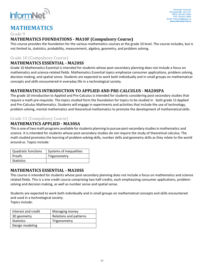

# **MATHEMATICS**

#### Grade 9

## **MATHEMATICS FOUNDATIONS ‐ MA10F (Compulsory Course)**

This course provides the foundation for the various mathematics courses at the grade 10 level. The course includes, but is not limited to, statistics, probability, measurement, algebra, geometry, and problem solving.

## Grade 10 (Compulsory Course)

## **MATHEMATICS ESSENTIAL ‐ MA20SS**

Grade 10 Mathematics Essential is intended for students whose post‐secondary planning does not include a focus on mathematics and science‐related fields. Mathematics Essential topics emphasize consumer applications, problem solving, decision‐making, and spatial sense. Students are expected to work both individually and in small groups on mathematical concepts and skills encountered in everyday life in a technological society.

## **MATHEMATICS INTRODUCTION TO APPLIED AND PRE‐CALCULUS ‐ MA20SPA**

The grade 10 introduction to Applied and Pre‐Calculus is intended for students considering post‐secondary studies that require a math pre-requisite. The topics studied form the foundation for topics to be studied in both grade 11 Applied and Pre‐Calculus Mathematics. Students will engage in experiments and activities that include the use of technology, problem solving, mental mathematics and theoretical mathematics to promote the development of mathematical skills.

#### Grade 11 (Compulsory Course)

## **MATHEMATICS APPLIED - MA30SA**

This is one of two math programs available for students planning to pursue post-secondary studies in mathematics and science. It is intended for students whose post-secondary studies do not require the study of theoretical calculus. The math studied promotes the learning of problem‐solving skills, number skills and geometry skills as they relate to the world around us. Topics include:

| Quadratic functions | Systems of inequalities |
|---------------------|-------------------------|
| Proofs              | Trigonometry            |
| Statistics          |                         |

#### **MATHEMATICS ESSENTIAL ‐ MA30SS**

This course is intended for students whose post‐secondary planning does not include a focus on mathematics and science related fields. This is a one credit course comprising two half credits, each emphasizing consumer applications, problem‐ solving and decision making, as well as number sense and spatial sense.

Students are expected to work both individually and in small groups on mathematical concepts and skills encountered and used in a technological society.

Topics include:

| Interest and credit | Managing money         |
|---------------------|------------------------|
| 3D geometry         | Relations and patterns |
| Statistics          | Trigonometry           |
| Design modeling     |                        |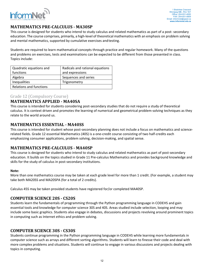

## **MATHEMATICS PRE‐CALCULUS ‐ MA30SP**

This course is designed for students who intend to study calculus and related mathematics as part of a post-secondary education. The course comprises, primarily, a high-level of theoretical mathematics with an emphasis on problem solving and mental mathematics, supported by cumulative exercises andtesting.

Students are required to learn mathematical concepts through practice and regular homework. Many of the questions and problems on exercises, tests and examinations can be expected to be different from those presented in class. Topics include:

| Quadratic equations and        | Radicals and rational equations |
|--------------------------------|---------------------------------|
| functions                      | and expressions                 |
| Algebra                        | Sequences and series            |
| Inequalities                   | Trigonometry                    |
| <b>Relations and functions</b> |                                 |

#### Grade 12 (Compulsory Course)

#### **MATHEMATICS APPLIED - MA40SA**

This course is intended for students considering post‐secondary studies that do not require a study of theoretical calculus. It is context driven and promotes the learning of numerical and geometrical problem‐solving techniques as they relate to the world around us.

#### **MATHEMATICS ESSENTIAL ‐ MA40SS**

This course is intended for student whose post-secondary planning does not include a focus on mathematics and sciencerelated fields. Grade 12 essential Mathematics (40S) is a one‐credit course consisting of two half‐credits each emphasizing consumer applications, problem solving, decision-making, and spatial sense.

#### **MATHEMATICS PRE‐CALCULUS ‐ MA40SP**

This course is designed for students who intend to study calculus and related mathematics as part of post‐secondary education. It builds on the topics studied in Grade 11 Pre‐calculus Mathematics and provides background knowledge and skills for the study of calculus in post‐secondary institutions.

#### **Note:**

More than one mathematics course may be taken at each grade level for more than 1 credit. (For example, a student may take both MA20SS and MA20SPA (for a total of 2 credits).

Calculus 45S may be taken provided students have registered for/or completed MA40SP.

#### **COMPUTER SCIENCE 20S ‐ CS20S**

Students learn the fundamentals of programming through the Python programming language in CODEHS and gain essential tools and knowledge for computer science 30S and 40S. Areas studied include selection, looping and may include some basic graphics. Students also engage in debates, discussions and projects revolving around prominent topics in computing such as Internet ethics and problem solving.

#### **COMPUTER SCIENCE 30S ‐ CS30S**

Students continue programming in the Python programming language in CODEHS while learning more fundamentals in computer science such as arrays and different sorting algorithms. Students will learn to finesse their code and deal with more complex problems and situations. Students will continue to engage in various discussions and projects dealing with topics in computing.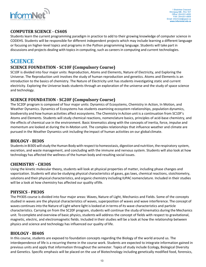

## **COMPUTER SCIENCE ‐ CS40S**

Students learn the current programming paradigm in practice to add to their growing knowledge of computer science in CODEHS. Students will be responsible for different independent projects which may include learning a different language or focusing on higher‐level topics and programs in the Python programming language. Students will take part in discussions and projects dealing with topics in computing, such as careers in computing and current technologies.

# **SCIENCE**

## **SCIENCE FOUNDATION ‐ SC10F (Compulsory Course)**

SC10F is divided into four major units: Reproduction, Atoms and Elements, Nature of Electricity, and Exploring the Universe. The Reproduction unit involves the study of human reproduction and genetics. Atoms and Elements is an introduction to the basics of chemistry. The Nature of Electricity unit has students investigating static and current electricity. Exploring the Universe leads students through an exploration of the universe and the study of space science and technology.

## **SCIENCE FOUNDATION ‐ SC20F (Compulsory Course)**

The SC20F program is composed of four major units: Dynamics of Ecosystems, Chemistry in Action, In Motion, and Weather Dynamics. Dynamics of Ecosystems has students examining ecosystem relationships, population dynamics, biodiversity and how human activities affect ecosystems. The Chemistry in Action unit is a continuation from SC10F's Atoms and Elements. Students will study chemical reactions, nomenclature basics, principles of acid‐base chemistry, and the effects of chemical use in the environment. Basic kinematics along with the concepts of inertia, force, impulse and momentum are looked at during the In‐Motion unit. The complex relationships that influence weather and climate are pursued in the Weather Dynamics unit including the impact of human activities on our global climate.

#### **BIOLOGY ‐ BI30S**

Students in BI30S will study the Human Body with respect to homeostasis, digestion and nutrition, the respiratory system, excretion, and waste management, and concluding with the immune and nervous system. Students will also look at how technology has affected the wellness of the human body and resulting social issues.

#### **CHEMISTRY ‐ CH30S**

Using the kinetic molecular theory, students will look at physical properties of matter, including phase changes and vaporization. Students will also be studying physical characteristics of gases, gas laws, chemical reactions, stoichiometry, solutions and their physical characteristics, and organic chemistry including IUPAC nomenclature. Included in their studies will be a look at how chemistry has affected our quality oflife.

#### **PHYSICS ‐ PH30S**

The PH30S course is divided into four major areas: Waves, Nature of Light, Mechanics and Fields. Some of the concepts studied in waves are the physical characteristics of waves, superposition of waves and wave interference. The concept of waves continues into the Nature of Light where light is looked at in terms of its wave characteristics and particle characteristics. Carrying on from the SC20F program, students will continue the study of kinematics during the Mechanics unit. To complete and overview of basic physics, students will address the concept of fields with respect to gravitational, magnetic, electric, and electromagnetic fields. Included in their studies will be a look at how the relationship between physics and science and technology has influenced our quality of life.

#### **BIOLOGY ‐ BI40S**

In this course, students are exposed to foundation concepts regarding the Biology of the world around us. The interdependence of life is a recurring theme in the course work. Students are expected to integrate information gained in previous units and apply that information throughout the semester. Topics of study include Ecology, Biological Diversity and Genetics. Specific emphasis will be placed on the use of Biotechnology including genetically modified food, forensics,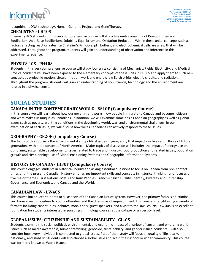

recombinant DNA technology, Human Genome Project, and GeneTherapy.

#### **CHEMISTRY ‐ CH40S**

Chemistry 40S students in this very comprehensive course will study five units consisting of Kinetics, Chemical Equilibrium, Acid‐Base Equilibrium, Solubility Equilibrium and Oxidation‐Reduction. Within these units, concepts such as factors affecting reaction rates, Le Chatelier's Principle, pH, buffers, and electrochemical cells are a few that will be addressed. Throughout the program, students will gain an understanding of observation and inference in this experimentalscience.

## **PHYSICS 40S ‐ PH40S**

Students in this very comprehensive course will study four units consisting of Mechanics, Fields, Electricity, and Medical Physics. Students will have been exposed to the elementary concepts of these units in PH30S and apply them to such new concepts as projectile motion, circular motion, work and energy, low Earth orbits, electric circuits, and radiation. Throughout the program, students will gain an understanding of how science, technology and the environment are related in a physical sense.

# **SOCIAL STUDIES**

## **CANADA IN THE CONTEMPORARY WORLD ‐ SS10F (Compulsory Course)**

In this course we will learn about how our government works, how people immigrate to Canada and become citizens and what makes us unique as Canadians. In addition, we will examine some basic Canadian geography as well as global issues such as poverty, working conditions in the developing world, war, and environmental challenges. In our examination of each issue, we will discuss how we as Canadians can actively respond to these issues.

## **GEOGRAPHY ‐ GE20F (Compulsory Course)**

The focus of this course is the environmental and political issues in geography that impact our lives and those of future generations within the context of North America. Major topics of discussion will include: the impact of energy use on our planet; sustainable development; issues related to trade and industry; food production and related issues; population growth and city planning; use of Global Positioning Systems and Geographic Information Systems.

## **HISTORY OF CANADA ‐ HI30F (Compulsory Course)**

This course engages students in historical inquiry and asking essential questions to focus on Canada from pre‐ contact times until the present. Canadian History emphasizes important skills and concepts in historical thinking and focuses on five major themes: First Nations, Métis and Inuit Peoples, French-English Duality, Identity, Diversity and Citizenship, Governance and Economics, and Canada and the World.

#### **CANADIAN LAW - LW40S**

This course introduces students to all aspects of the Canadian justice system. However, the primary focus is on criminal law. From arrest procedure to young offenders and the dilemmas of imprisonment, this course is taught using a variety of formats including case studies, debates, mock trials, guest speakers, and a visit to the law courts. Law 40S is an excellent foundation for students interested in pursuing criminology courses at the college or university level.

## **GLOBAL ISSUES: CITIZENSHIP AND SUSTAINABILITY ‐ GI40S**

Students examine the social, political, environmental, and economic impact of a variety of current and emerging world issues such as media awareness, human trafficking, genocide, sustainability, and gender issues. Students will also consider how every individual is connected to global issues. Part of their study will focus on quality of life locally, nationally, and globally. Students will also choose a global issue and act in their school or wider community. This course was formerly known as World Issues.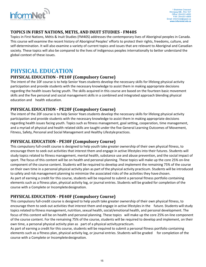

## **TOPICS IN FIRST NATIONS, METIS, AND INUIT STUDIES ‐ FM40S**

Topics in First Nations, Métis & Inuit Studies (FM40S) addresses the contemporary lives of Aboriginal peoples in Canada. This course will examine the recent history of Aboriginal Peoples' efforts to protect their rights, freedoms, culture, and self-determination. It will also examine a variety of current topics and issues that are relevant to Aboriginal and Canadian society. These topics will also be compared to the lives of indigenous peoples internationally to better understand the global context of these issues.

## **PHYSICAL EDUCATION**

## **PHYSICAL EDUCATION ‐ PE10F (Compulsory Course)**

The intent of the 10F course is to help Senior Years students develop the necessary skills for lifelong physical activity participation and provide students with the necessary knowledge to assist them in making appropriate decisions regarding the health issues facing youth. The skills acquired in this course are based on the fourteen basic movement skills and the five personal and social management skills in a combined and integrated approach blending physical education and health education.

#### **PHYSICAL EDUCATION ‐ PE20F (Compulsory Course)**

The intent of the 20F course is to help Senior Years students develop the necessary skills for lifelong physical activity participation and provide students with the necessary knowledge to assist them in making appropriate decisions regarding health issues facing youth. Topics such as fitness management, goal setting, cooperation, time management, and a myriad of physical and health related skills are taught under the five General Learning Outcomes of Movement, Fitness, Safety, Personal and Social Management and Healthy Lifestylepractices.

#### **PHYSICAL EDUCATION ‐ PE30F (Compulsory Course)**

This compulsory full‐credit course is designed to help youth take greater ownership of their own physical fitness, to encourage them to seek out activities that interest them and engage in active lifestyles into their futures. Students will study topics related to fitness management, mental health, substance use and abuse prevention, and the social impact of sport. The focus of this content will be on health and personal planning. These topics will make up the core 25% on-line component of the course content. Students will be required to develop and implement the remaining 75% of the course on their own time in a personal physical activity plan as part of the physical activity practicum. Students will be introduced to safety and risk management planning to minimize the associated risks of the activities they havechosen. As part of earning a credit for this course, students will be required to submit a personal fitness portfolio containing elements such as a fitness plan, physical activity log, or journal entries. Students will be graded for completion of the course with a Complete or Incompletedesignation.

## **PHYSICAL EDUCATION ‐ PE40F (Compulsory Course)**

This compulsory full‐credit course is designed to help youth take greater ownership of their own physical fitness, to encourage them to seek out activities that interest them and engage in active lifestyles in the future. Students will study topics related to fitness management, nutrition, sexual health, social/emotional health, and personal development. The focus of this content will be on health and personal planning. These topics will make up the core 25% on‐line component of the course content. For the remaining 75% of the course, students will be required to develop and implement, on their own time, a personal physical activity plan as part of a physical activitypracticum.

As part of earning a credit for this course, students will be required to submit a personal fitness portfolio containing elements such as a fitness plan, physical activity log, or journal entries. Students will be graded for completion of the course with a Complete or Incompletedesignation.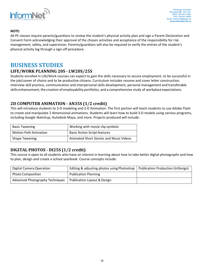

#### **NOTE:**

All PE classes require parents/guardians to review the student's physical activity plan and sign a Parent Declaration and Consent Form acknowledging their approval of the chosen activities and acceptance of the responsibility for risk management, safety, and supervision. Parents/guardians will also be required to verify the entries of the student's physical activity log through a sign‐off procedure.

## **BUSINESS STUDIES**

#### **LIFE/WORK PLANNING 20S ‐ LW20S/25S**

Students enrolled in Life/Work courses can expect to gain the skills necessary to secure employment, to be successful in the job/career of choice and to be productive citizens. Curriculum includes resume and cover letter construction, interview skill practice, communication and interpersonal skills development, personal management and transferable skills enhancement, the creation of employability portfolios, and a comprehensive study of workplace expectations.

#### **2D COMPUTER ANIMATION ‐ AN35S (1/2 credit)**

This will introduce students to 3‐D modeling and 2‐D Animation. The first portion will teach students to use Adobe Flash to create and manipulate 2 dimensional animations. Students will learn how to build 3‐D models using various programs, including Google Sketchup, Autodesk Maya, and more. Projects produced will include:

| <b>Basic Tweening</b>        | Working with movie clip symbols                |
|------------------------------|------------------------------------------------|
| <b>Motion Path Animation</b> | <b>Basic Action Script features</b>            |
| <b>Shape Tweening</b>        | <b>Animated Short Stories and Music Videos</b> |

#### **DIGITAL PHOTOS ‐ DI25S (1/2 credit)**

This course is open to all students who have an interest in learning about how to take better digital photographs and how to plan, design and create a school yearbook. Course concepts include:

| Digital Camera Operation               | Editing & adjusting photos using Photoshop | Publication Production (InDesign) |
|----------------------------------------|--------------------------------------------|-----------------------------------|
| <b>Photo Composition</b>               | <b>Publication Planning</b>                |                                   |
| <b>Advanced Photography Techniques</b> | Publication Layout & Design                |                                   |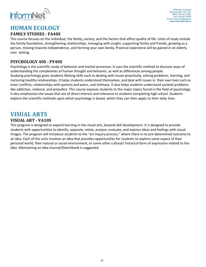

## **HUMAN ECOLOGY**

## **FAMILY STUDIES ‐ FA40S**

This course focuses on the individual, the family, society, and the factors that affect quality of life. Units of study include the family foundation, strengthening relationships, managing with insight, supporting family and friends, growing as a person, moving towards independence, and forming your own family. Practical experience will be gained in an elderly care setting.

## **PSYCHOLOGY 40S ‐ PY40S**

Psychology is the scientific study of behavior and mental processes. It uses the scientific method to discover ways of understanding the complexities of human thought and behavior, as well as differences among people. Studying psychology gives students lifelong skills such as dealing with issues proactively, solving problems, learning, and nurturing healthy relationships. It helps students understand themselves, and deal with issues in their own lives such as inner conflicts, relationships with parents and peers, and intimacy. It also helps students understand societal problems like addiction, violence, and prejudice. This course exposes students to the major topics found in the field of psychology. It also emphasizes the issues that are of direct interest and relevance to students completing high school. Students explore the scientific methods upon which psychology is based, which they can then apply to their daily lives.

# **VISUAL ARTS**

## **VISUAL ART ‐ VA10S**

This program is designed to expand learning in the visual arts, beyond skill development. It is designed to provide students with opportunities to identify, separate, relate, analyze, evaluate, and express ideas and feelings with visual images. The program will introduce students to the "art inquiry process," where there is no pre‐determined outcome to an idea. Each of the units involves an idea that provides opportunities for students to explore some aspect of their personal world, their natural or social environment, or some other cultural/ historical form of expression related to the idea. Maintaining an Idea Journal/Sketchbook is suggested.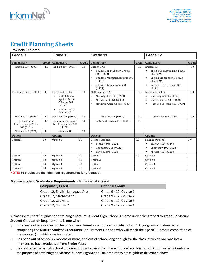

# **Credit Planning Sheets**

#### **Provincial Diploma**

| Grade 9                                           |        | Grade 10                                                                                                      |        | Grade 11                                                                                                                                              |               | Grade 12                                                                                                                                                                                     |               |
|---------------------------------------------------|--------|---------------------------------------------------------------------------------------------------------------|--------|-------------------------------------------------------------------------------------------------------------------------------------------------------|---------------|----------------------------------------------------------------------------------------------------------------------------------------------------------------------------------------------|---------------|
| Compulsory                                        | Credit | Compulsory                                                                                                    | Credit | Compulsory                                                                                                                                            | <b>Credit</b> | Compulsory                                                                                                                                                                                   | <b>Credit</b> |
| English 10F (0001)                                | 1.0    | English 20F (0001)                                                                                            | 1.0    | English 30S:<br>English Comprehensive Focus<br>30S (0092)<br><b>English Transactional Focus 30S</b><br>(0094)<br>English Literary Focus 30S<br>(0093) | 1.0           | English 40S:<br>English Comprehensive Focus<br>$\bullet$<br>40S (0092)<br><b>English Transactional Focus</b><br>$\bullet$<br>40S (0094)<br>English Literary Focus 40S<br>$\bullet$<br>(0093) | 1.0           |
| Mathematics 10F (0080)                            | 1.0    | Mathematics 20S:<br>Math Intro to<br>Applied & Pre-<br>Calculus 20S<br>(3905)<br>Math Essential<br>20S (3000) | 1.0    | Mathematics 30S:<br>Math Applied 30S (3903)<br>$\bullet$<br>Math Essential 30S (3000)<br>$\bullet$<br>Math Pre-Calculus 30S (3939)<br>$\bullet$       | 1.0           | Mathematics 40S:<br>Math Applied 40S (3903)<br>$\bullet$<br>Math Essential 40S (3000)<br>$\bullet$<br>Math Pre-Calculus 40S (3939)<br>$\bullet$                                              | 1.0           |
| Phys. Ed. 10F (0169)                              | 1.0    | Phys. Ed. 20F (0169)                                                                                          | 1.0    | Phys. Ed 30F (0169)                                                                                                                                   | 1.0           | Phys. Ed 40F (0169)                                                                                                                                                                          | 1.0           |
| Canada in the<br>Contemporary World<br>10F (0101) | 1.0    | Geographic Issues of<br>the 20th Century 20F<br>(1180)                                                        | 1.0    | History of Canada 30F (0105)                                                                                                                          | 1.0           |                                                                                                                                                                                              |               |
| Science 10F (0120)                                | 1.0    | Science 20F                                                                                                   | 1.0    |                                                                                                                                                       |               |                                                                                                                                                                                              |               |
| <b>Options</b>                                    |        | <b>Options</b>                                                                                                |        | <b>Options</b>                                                                                                                                        |               | <b>Options</b>                                                                                                                                                                               |               |
| Option 1                                          | 1.0    | Option 1                                                                                                      | 1.0    | Science Options:<br>Biology 30S (0124)<br>Chemistry 30S (0122)<br>Physics 30S (0123)<br>$\bullet$                                                     | 3.0           | Science Options:<br>Biology 40S (0124)<br>$\bullet$<br>Chemistry 40S (0122)<br>$\bullet$<br>Physics 40S (0123)<br>$\bullet$                                                                  | 3.0           |
| Option 2                                          | 1.0    | Option 2                                                                                                      | 1.0    | Option 2                                                                                                                                              | 1.0           | Option 2                                                                                                                                                                                     |               |
| Option 3                                          | 1.0    | Option 3                                                                                                      | 1.0    | Option 3                                                                                                                                              |               | Option 3                                                                                                                                                                                     |               |
| Option 4                                          | 1.0    | Option 4                                                                                                      | 1.0    | Option 4                                                                                                                                              |               | Option 4                                                                                                                                                                                     |               |
| Option 5                                          | 1.0    | Option 5                                                                                                      | 1.0    | Option 5                                                                                                                                              |               | Option 5                                                                                                                                                                                     |               |

**NOTE: 30 credits are the minimum requirements for graduation**

#### **Mature Student Graduation Requirements** ‐ Minimum of 8 credits

| <b>Compulsory Credits</b>       | <b>Optional Credits</b> |
|---------------------------------|-------------------------|
| Grade 12, English Language Arts | Grade 9 - 12, Course 1  |
| Grade 12, Mathematics           | Grade 9 - 12, Course 2  |
| Grade 12, Course 1              | Grade 9 - 12, Course 3  |
| Grade 12, Course 2              | Grade 9 - 12, Course 4  |
|                                 |                         |

A "mature student" eligible for obtaining a Mature Student High School Diploma under the grade 9 to grade 12 Mature Student Graduation Requirements is one who:

- $\circ$  Is 19 years of age or over at the time of enrolment in school division/district or ALC programming directed at completing the Mature Student Graduation Requirements, or one who will reach the age of 19 before completion of the course(s) in which one is enrolled.
- o Has been out of school six months or more, and out of school long enough for the class, of which one was last a member, to have graduated from Senior Years.
- o Has not obtained a high school diploma. Students can enroll in a school division/district or Adult Learning Centre for the purpose of obtaining the Mature Student High School Diploma if they are eligible as described above.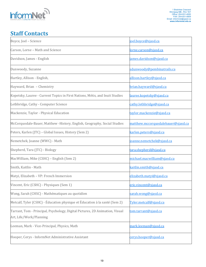

# **Staff Contacts**

| Boyce, Joel - Science                                                                                   | <u>ioel.boyce@sjasd.ca</u>         |  |  |
|---------------------------------------------------------------------------------------------------------|------------------------------------|--|--|
| Carson, Lorne - Math and Science                                                                        | <u>lorne.carson@sjasd.ca</u>       |  |  |
| Davidson, James - English                                                                               | <u>james.davidson@sjasd.ca</u>     |  |  |
| Dunwoody, Suzanne                                                                                       | sdunwoody@pembinatrails.ca         |  |  |
| Hartley, Allison - English,                                                                             | allison.hartley@sjasd.ca           |  |  |
| Hayward, Brian - Chemistry                                                                              | brian.hayward@sjasd.ca             |  |  |
| Kopetsky, Lauree - Current Topics in First Nations, Métis, and Inuit Studies                            | <u>lauree.kopetsky@sjasd.ca</u>    |  |  |
| Lethbridge, Cathy - Computer Science                                                                    | cathy.lethbridge@sjasd.ca          |  |  |
| Mackenzie, Taylor - Physical Education                                                                  | taylor.mackenzie@sjasd.ca          |  |  |
| McCorquodale-Bauer, Matthew -History, English, Geography, Social Studies                                | matthew.mccorquodalebauer@sjasd.ca |  |  |
| Peters, Karlen (JTC) - Global Issues, History (Sem 2)                                                   | karlen.peters@sjasd.ca             |  |  |
| Nemetchek, Joanne (WWC) - Math                                                                          | joanne.nemetchek@sjasd.ca          |  |  |
| Shepherd, Tara (JTC) - Biology                                                                          | tara.shepherd@sjasd.ca             |  |  |
| MacWilliam, Mike (CSHC) - English (Sem 2)                                                               | michael.macwilliam@sjasd.ca        |  |  |
| Smith, Kaitlin - Math                                                                                   | kaitlin.smith@sjasd.ca             |  |  |
| Matyi, Elizabeth - VP: French Immersion                                                                 | elizabeth.matyi@sjasd.ca           |  |  |
| Vincent, Eric (CSHC) - Physiques (Sem 1)                                                                | eric.vincent@sjasd.ca              |  |  |
| Wong, Sarah (CHSC) - Mathématiques au quotidien                                                         | sarah.wong@sjasd.ca                |  |  |
| Metcalf, Tyler (CSHC) - Éducation physique et Éducation à la santé (Sem 2)                              | Tyler.metcalf@sjasd.ca             |  |  |
| Tarrant, Tom - Principal, Psychology, Digital Pictures, 2D Animation, Visual<br>Art, Life/Work/Planning | <u>tom.tarrant@sjasd.ca</u>        |  |  |
| Leeman, Mark - Vice-Principal, Physics, Math                                                            | mark.leeman@sjasd.ca               |  |  |
| Hooper, Cerys - InformNet Administrative Assistant                                                      | cerys.hooper@sjasd.ca              |  |  |